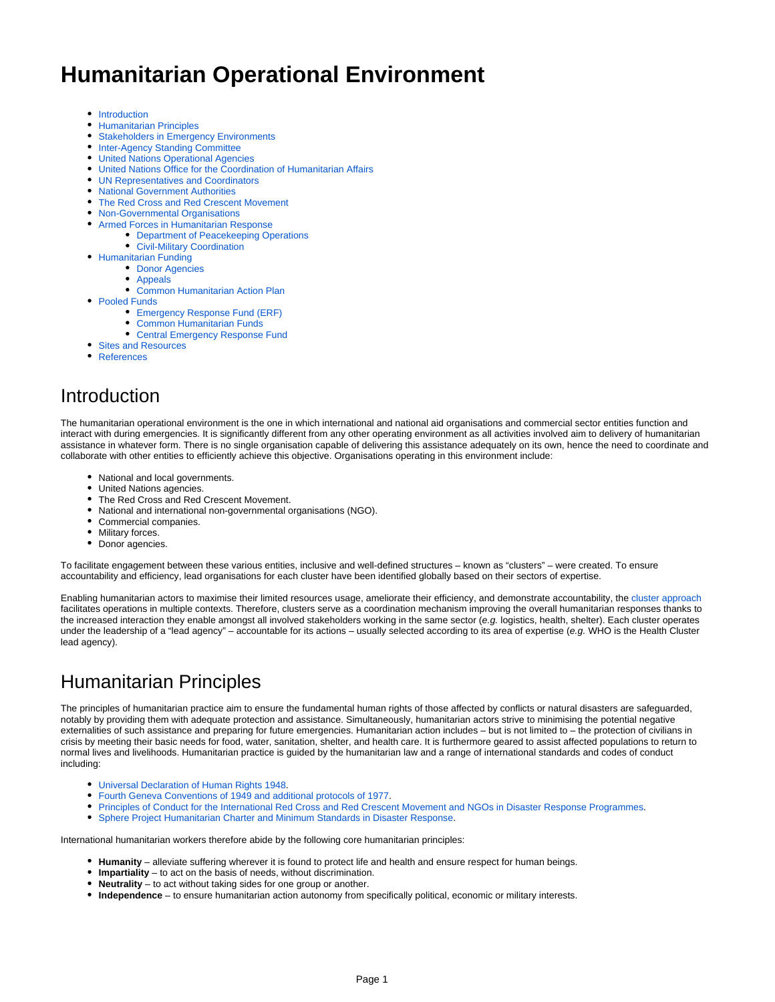# **Humanitarian Operational Environment**

- [Introduction](#page-0-0)
- [Humanitarian Principles](#page-0-1)
- $\bullet$ [Stakeholders in Emergency Environments](#page-0-2)
- [Inter-Agency Standing Committee](#page-1-0)
- [United Nations Operational Agencies](#page-1-1)
- [United Nations Office for the Coordination of Humanitarian Affairs](#page-2-0)
- [UN Representatives and Coordinators](#page-2-1)
- [National Government Authorities](#page-3-0)
- [The Red Cross and Red Crescent Movement](#page-3-1)
- [Non-Governmental Organisations](#page-3-2)
- [Armed Forces in Humanitarian Response](#page-3-3)
	- [Department of Peacekeeping Operations](#page-3-4)
	- [Civil-Military Coordination](#page-4-0)
- [Humanitarian Funding](#page-4-1)
	- [Donor Agencies](#page-4-2)
		- [Appeals](#page-4-3)
	- [Common Humanitarian Action Plan](#page-4-4)
- [Pooled Funds](#page-5-0)
	- [Emergency Response Fund \(ERF\)](#page-5-1)
	- [Common Humanitarian Funds](#page-5-2)
	- [Central Emergency Response Fund](#page-5-3)
- [Sites and Resources](#page-5-4)
- [References](#page-6-0)

### <span id="page-0-0"></span>Introduction

The humanitarian operational environment is the one in which international and national aid organisations and commercial sector entities function and interact with during emergencies. It is significantly different from any other operating environment as all activities involved aim to delivery of humanitarian assistance in whatever form. There is no single organisation capable of delivering this assistance adequately on its own, hence the need to coordinate and collaborate with other entities to efficiently achieve this objective. Organisations operating in this environment include:

- National and local governments.
- United Nations agencies.
- The Red Cross and Red Crescent Movement.
- National and international non-governmental organisations (NGO).
- Commercial companies.
- Military forces.
- Donor agencies.

To facilitate engagement between these various entities, inclusive and well-defined structures – known as "clusters" – were created. To ensure accountability and efficiency, lead organisations for each cluster have been identified globally based on their sectors of expertise.

Enabling humanitarian actors to maximise their limited resources usage, ameliorate their efficiency, and demonstrate accountability, the [cluster approach](https://dlca.logcluster.org/display/LOG/Cluster+Approach) facilitates operations in multiple contexts. Therefore, clusters serve as a coordination mechanism improving the overall humanitarian responses thanks to the increased interaction they enable amongst all involved stakeholders working in the same sector (e.g. logistics, health, shelter). Each cluster operates under the leadership of a "lead agency" – accountable for its actions – usually selected according to its area of expertise (e.g. WHO is the Health Cluster lead agency).

## <span id="page-0-1"></span>Humanitarian Principles

The principles of humanitarian practice aim to ensure the fundamental human rights of those affected by conflicts or natural disasters are safeguarded, notably by providing them with adequate protection and assistance. Simultaneously, humanitarian actors strive to minimising the potential negative externalities of such assistance and preparing for future emergencies. Humanitarian action includes – but is not limited to – the protection of civilians in crisis by meeting their basic needs for food, water, sanitation, shelter, and health care. It is furthermore geared to assist affected populations to return to normal lives and livelihoods. Humanitarian practice is guided by the humanitarian law and a range of international standards and codes of conduct including:

- [Universal Declaration of Human Rights 1948.](http://www.ohchr.org/EN/UDHR/Pages/Introduction.aspx)
- [Fourth Geneva Conventions of 1949 and additional protocols of 1977](https://www.icrc.org/en/war-and-law/treaties-customary-law/geneva-conventions).
- [Principles of Conduct for the International Red Cross and Red Crescent Movement and NGOs in Disaster Response Programmes.](https://dlca.logcluster.org/download/attachments/72320049/ICRC%20Code%20of%20Conduct.pdf?version=1&modificationDate=1634284854000&api=v2)
- [Sphere Project Humanitarian Charter and Minimum Standards in Disaster Response](https://spherestandards.org/handbook/editions/).

International humanitarian workers therefore abide by the following core humanitarian principles:

- **Humanity** alleviate suffering wherever it is found to protect life and health and ensure respect for human beings.
- **Impartiality** to act on the basis of needs, without discrimination.
- **Neutrality** to act without taking sides for one group or another.
- <span id="page-0-2"></span>**Independence** – to ensure humanitarian action autonomy from specifically political, economic or military interests.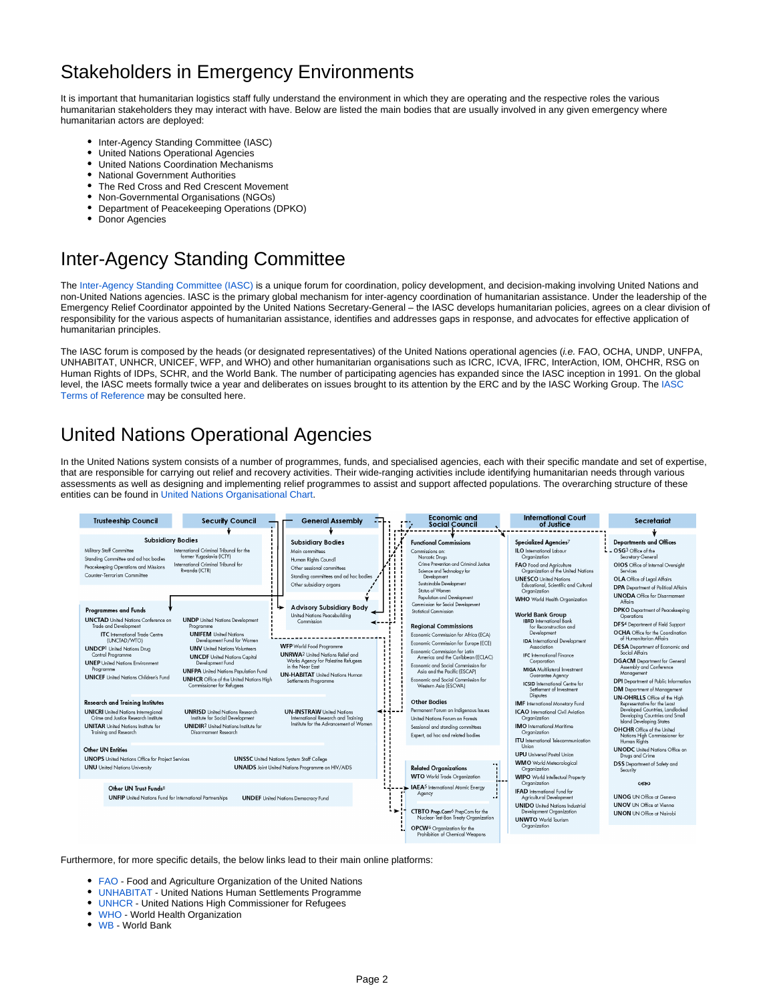# Stakeholders in Emergency Environments

It is important that humanitarian logistics staff fully understand the environment in which they are operating and the respective roles the various humanitarian stakeholders they may interact with have. Below are listed the main bodies that are usually involved in any given emergency where humanitarian actors are deployed:

- Inter-Agency Standing Committee (IASC)
- United Nations Operational Agencies  $\bullet$
- $\bullet$ United Nations Coordination Mechanisms
- $\bullet$ National Government Authorities
- The Red Cross and Red Crescent Movement  $\bullet$
- $\bullet$ Non-Governmental Organisations (NGOs)
- Department of Peacekeeping Operations (DPKO)
- $\bullet$ Donor Agencies

## <span id="page-1-0"></span>Inter-Agency Standing Committee

The [Inter-Agency Standing Committee \(IASC\)](http://interagencystandingcommittee.org/) is a unique forum for coordination, policy development, and decision-making involving United Nations and non-United Nations agencies. IASC is the primary global mechanism for inter-agency coordination of humanitarian assistance. Under the leadership of the Emergency Relief Coordinator appointed by the United Nations Secretary-General – the IASC develops humanitarian policies, agrees on a clear division of responsibility for the various aspects of humanitarian assistance, identifies and addresses gaps in response, and advocates for effective application of humanitarian principles.

The IASC forum is composed by the heads (or designated representatives) of the United Nations operational agencies (i.e. FAO, OCHA, UNDP, UNFPA, UNHABITAT, UNHCR, UNICEF, WFP, and WHO) and other humanitarian organisations such as ICRC, ICVA, IFRC, InterAction, IOM, OHCHR, RSG on Human Rights of IDPs, SCHR, and the World Bank. The number of participating agencies has expanded since the IASC inception in 1991. On the global level, the IASC meets formally twice a year and deliberates on issues brought to its attention by the ERC and by the IASC Working Group. The [IASC](https://dlca.logcluster.org/download/attachments/72320049/IASC-TOR.pdf?version=1&modificationDate=1634283698000&api=v2)  [Terms of Reference](https://dlca.logcluster.org/download/attachments/72320049/IASC-TOR.pdf?version=1&modificationDate=1634283698000&api=v2) may be consulted here.

# <span id="page-1-1"></span>United Nations Operational Agencies

In the United Nations system consists of a number of programmes, funds, and specialised agencies, each with their specific mandate and set of expertise, that are responsible for carrying out relief and recovery activities. Their wide-ranging activities include identifying humanitarian needs through various assessments as well as designing and implementing relief programmes to assist and support affected populations. The overarching structure of these entities can be found in [United Nations Organisational Chart](https://dlca.logcluster.org/download/attachments/72320049/UN%20Organizational%20Chart.pdf?version=1&modificationDate=1634282583000&api=v2).



Furthermore, for more specific details, the below links lead to their main online platforms:

- [FAO](http://www.fao.org/) Food and Agriculture Organization of the United Nations
- [UNHABITAT](http://www.unhabitat.org/)  United Nations Human Settlements Programme
- [UNHCR](http://www.unhcr.org/) United Nations High Commissioner for Refugees
- [WHO](http://www.who.int/) World Health Organization
- [WB](http://www.worldbank.org/) World Bank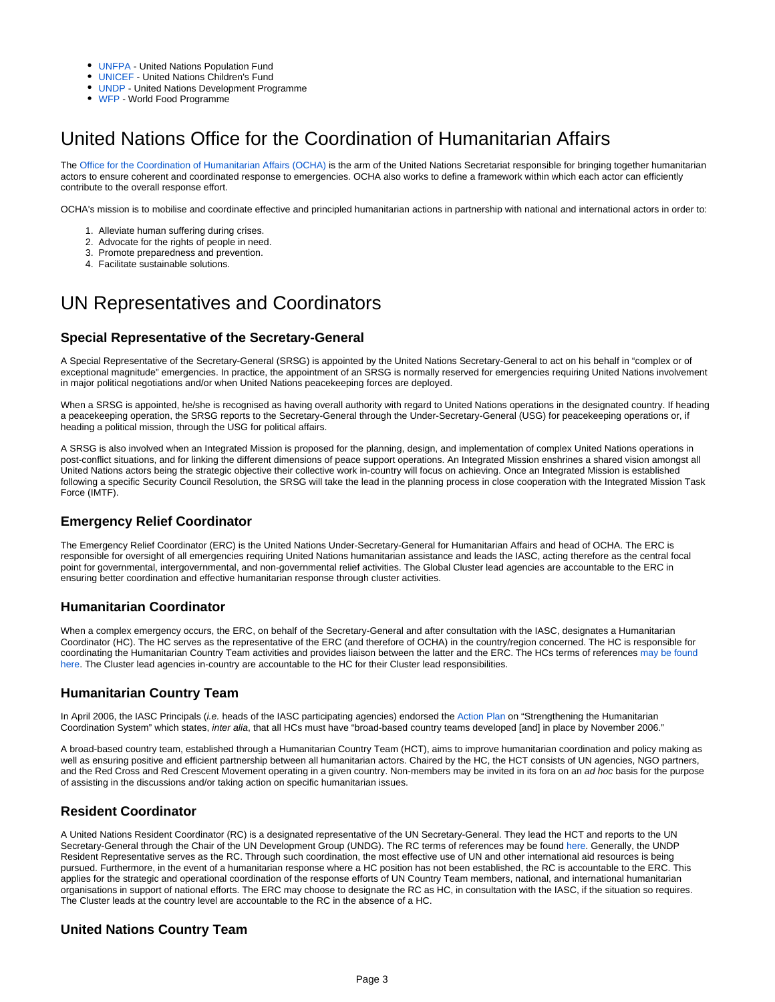- [UNFPA](http://www.unfpa.org/) United Nations Population Fund
- [UNICEF](http://www.unicef.org/)  United Nations Children's Fund
- [UNDP](http://www.undp.org/) United Nations Development Programme
- [WFP](http://www.wfp.org/)  World Food Programme

# <span id="page-2-0"></span>United Nations Office for the Coordination of Humanitarian Affairs

The [Office for the Coordination of Humanitarian Affairs \(OCHA\)](https://www.unocha.org/) is the arm of the United Nations Secretariat responsible for bringing together humanitarian actors to ensure coherent and coordinated response to emergencies. OCHA also works to define a framework within which each actor can efficiently contribute to the overall response effort.

OCHA's mission is to mobilise and coordinate effective and principled humanitarian actions in partnership with national and international actors in order to:

- 1. Alleviate human suffering during crises.
- 2. Advocate for the rights of people in need.
- 3. Promote preparedness and prevention.
- 4. Facilitate sustainable solutions.

## <span id="page-2-1"></span>UN Representatives and Coordinators

#### **Special Representative of the Secretary-General**

A Special Representative of the Secretary-General (SRSG) is appointed by the United Nations Secretary-General to act on his behalf in "complex or of exceptional magnitude" emergencies. In practice, the appointment of an SRSG is normally reserved for emergencies requiring United Nations involvement in major political negotiations and/or when United Nations peacekeeping forces are deployed.

When a SRSG is appointed, he/she is recognised as having overall authority with regard to United Nations operations in the designated country. If heading a peacekeeping operation, the SRSG reports to the Secretary-General through the Under-Secretary-General (USG) for peacekeeping operations or, if heading a political mission, through the USG for political affairs.

A SRSG is also involved when an Integrated Mission is proposed for the planning, design, and implementation of complex United Nations operations in post-conflict situations, and for linking the different dimensions of peace support operations. An Integrated Mission enshrines a shared vision amongst all United Nations actors being the strategic objective their collective work in-country will focus on achieving. Once an Integrated Mission is established following a specific Security Council Resolution, the SRSG will take the lead in the planning process in close cooperation with the Integrated Mission Task Force (IMTF).

#### **Emergency Relief Coordinator**

The Emergency Relief Coordinator (ERC) is the United Nations Under-Secretary-General for Humanitarian Affairs and head of OCHA. The ERC is responsible for oversight of all emergencies requiring United Nations humanitarian assistance and leads the IASC, acting therefore as the central focal point for governmental, intergovernmental, and non-governmental relief activities. The Global Cluster lead agencies are accountable to the ERC in ensuring better coordination and effective humanitarian response through cluster activities.

#### **Humanitarian Coordinator**

When a complex emergency occurs, the ERC, on behalf of the Secretary-General and after consultation with the IASC, designates a Humanitarian Coordinator (HC). The HC serves as the representative of the ERC (and therefore of OCHA) in the country/region concerned. The HC is responsible for coordinating the Humanitarian Country Team activities and provides liaison between the latter and the ERC. The HCs terms of references [may be found](https://dlca.logcluster.org/download/attachments/72320049/Humanitarian%20Coordinator%20TOR.doc?version=1&modificationDate=1634283485000&api=v2)  [here](https://dlca.logcluster.org/download/attachments/72320049/Humanitarian%20Coordinator%20TOR.doc?version=1&modificationDate=1634283485000&api=v2). The Cluster lead agencies in-country are accountable to the HC for their Cluster lead responsibilities.

#### **Humanitarian Country Team**

In April 2006, the IASC Principals (i.e. heads of the IASC participating agencies) endorsed the [Action Plan](https://dlca.logcluster.org/download/attachments/72320049/Strengthening%20the%20Humanitarian%20Coordinator%20System.pdf?version=1&modificationDate=1634283813000&api=v2) on "Strengthening the Humanitarian Coordination System" which states, inter alia, that all HCs must have "broad-based country teams developed [and] in place by November 2006."

A broad-based country team, established through a Humanitarian Country Team (HCT), aims to improve humanitarian coordination and policy making as well as ensuring positive and efficient partnership between all humanitarian actors. Chaired by the HC, the HCT consists of UN agencies, NGO partners, and the Red Cross and Red Crescent Movement operating in a given country. Non-members may be invited in its fora on an ad hoc basis for the purpose of assisting in the discussions and/or taking action on specific humanitarian issues.

#### **Resident Coordinator**

A United Nations Resident Coordinator (RC) is a designated representative of the UN Secretary-General. They lead the HCT and reports to the UN Secretary-General through the Chair of the UN Development Group (UNDG). The RC terms of references may be found [here.](https://unsdg.un.org/sites/default/files/QCPR-Info-Brief-2-UN-RC-System-UN-DOCO-Nov-2016.pdf) Generally, the UNDP Resident Representative serves as the RC. Through such coordination, the most effective use of UN and other international aid resources is being pursued. Furthermore, in the event of a humanitarian response where a HC position has not been established, the RC is accountable to the ERC. This applies for the strategic and operational coordination of the response efforts of UN Country Team members, national, and international humanitarian organisations in support of national efforts. The ERC may choose to designate the RC as HC, in consultation with the IASC, if the situation so requires. The Cluster leads at the country level are accountable to the RC in the absence of a HC.

### **United Nations Country Team**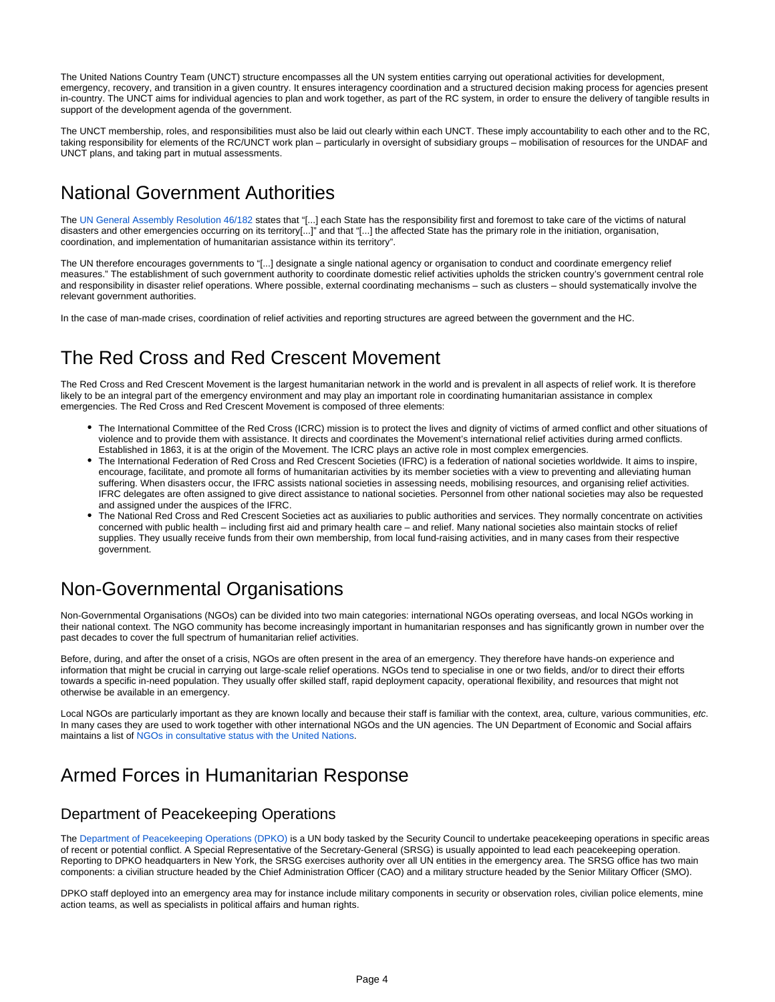The United Nations Country Team (UNCT) structure encompasses all the UN system entities carrying out operational activities for development, emergency, recovery, and transition in a given country. It ensures interagency coordination and a structured decision making process for agencies present in-country. The UNCT aims for individual agencies to plan and work together, as part of the RC system, in order to ensure the delivery of tangible results in support of the development agenda of the government.

The UNCT membership, roles, and responsibilities must also be laid out clearly within each UNCT. These imply accountability to each other and to the RC, taking responsibility for elements of the RC/UNCT work plan – particularly in oversight of subsidiary groups – mobilisation of resources for the UNDAF and UNCT plans, and taking part in mutual assessments.

### <span id="page-3-0"></span>National Government Authorities

The [UN General Assembly Resolution 46/182](https://dlca.logcluster.org/download/attachments/72320049/Provider%20of%20Last%20Resort.pdf?version=1&modificationDate=1634283887000&api=v2) states that "[...] each State has the responsibility first and foremost to take care of the victims of natural disasters and other emergencies occurring on its territory[...]" and that "[...] the affected State has the primary role in the initiation, organisation, coordination, and implementation of humanitarian assistance within its territory".

The UN therefore encourages governments to "[...] designate a single national agency or organisation to conduct and coordinate emergency relief measures." The establishment of such government authority to coordinate domestic relief activities upholds the stricken country's government central role and responsibility in disaster relief operations. Where possible, external coordinating mechanisms – such as clusters – should systematically involve the relevant government authorities.

In the case of man-made crises, coordination of relief activities and reporting structures are agreed between the government and the HC.

### <span id="page-3-1"></span>The Red Cross and Red Crescent Movement

The Red Cross and Red Crescent Movement is the largest humanitarian network in the world and is prevalent in all aspects of relief work. It is therefore likely to be an integral part of the emergency environment and may play an important role in coordinating humanitarian assistance in complex emergencies. The Red Cross and Red Crescent Movement is composed of three elements:

- The International Committee of the Red Cross (ICRC) mission is to protect the lives and dignity of victims of armed conflict and other situations of violence and to provide them with assistance. It directs and coordinates the Movement's international relief activities during armed conflicts. Established in 1863, it is at the origin of the Movement. The ICRC plays an active role in most complex emergencies.
- The International Federation of Red Cross and Red Crescent Societies (IFRC) is a federation of national societies worldwide. It aims to inspire, encourage, facilitate, and promote all forms of humanitarian activities by its member societies with a view to preventing and alleviating human suffering. When disasters occur, the IFRC assists national societies in assessing needs, mobilising resources, and organising relief activities. IFRC delegates are often assigned to give direct assistance to national societies. Personnel from other national societies may also be requested and assigned under the auspices of the IFRC.
- The National Red Cross and Red Crescent Societies act as auxiliaries to public authorities and services. They normally concentrate on activities concerned with public health – including first aid and primary health care – and relief. Many national societies also maintain stocks of relief supplies. They usually receive funds from their own membership, from local fund-raising activities, and in many cases from their respective government.

## <span id="page-3-2"></span>Non-Governmental Organisations

Non-Governmental Organisations (NGOs) can be divided into two main categories: international NGOs operating overseas, and local NGOs working in their national context. The NGO community has become increasingly important in humanitarian responses and has significantly grown in number over the past decades to cover the full spectrum of humanitarian relief activities.

Before, during, and after the onset of a crisis, NGOs are often present in the area of an emergency. They therefore have hands-on experience and information that might be crucial in carrying out large-scale relief operations. NGOs tend to specialise in one or two fields, and/or to direct their efforts towards a specific in-need population. They usually offer skilled staff, rapid deployment capacity, operational flexibility, and resources that might not otherwise be available in an emergency.

Local NGOs are particularly important as they are known locally and because their staff is familiar with the context, area, culture, various communities, etc. In many cases they are used to work together with other international NGOs and the UN agencies. The UN Department of Economic and Social affairs maintains a list of [NGOs in consultative status with the United Nations.](http://esango.un.org/civilsociety/getByAllHavingStatus.do;jsessionid=661BB16D24EB09EAB28AA065A1088A78?method=getByAllHavingStatus&searchType=csSearch)

### <span id="page-3-3"></span>Armed Forces in Humanitarian Response

### <span id="page-3-4"></span>Department of Peacekeeping Operations

The [Department of Peacekeeping Operations \(DPKO\)](https://peacekeeping.un.org/) is a UN body tasked by the Security Council to undertake peacekeeping operations in specific areas of recent or potential conflict. A Special Representative of the Secretary-General (SRSG) is usually appointed to lead each peacekeeping operation. Reporting to DPKO headquarters in New York, the SRSG exercises authority over all UN entities in the emergency area. The SRSG office has two main components: a civilian structure headed by the Chief Administration Officer (CAO) and a military structure headed by the Senior Military Officer (SMO).

DPKO staff deployed into an emergency area may for instance include military components in security or observation roles, civilian police elements, mine action teams, as well as specialists in political affairs and human rights.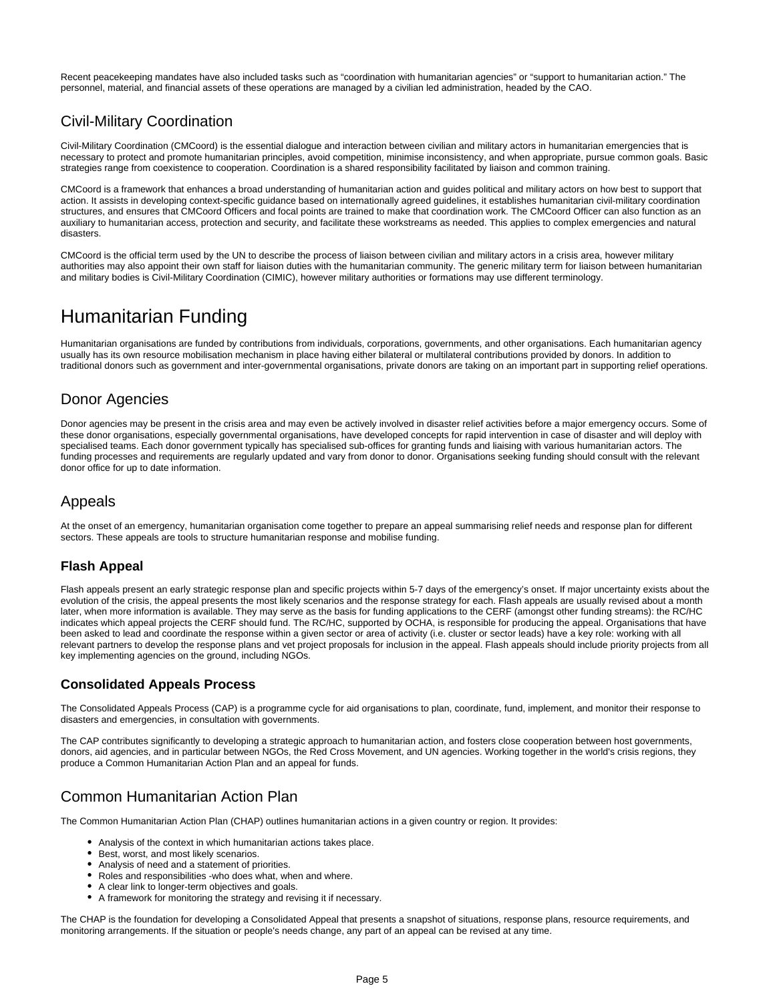Recent peacekeeping mandates have also included tasks such as "coordination with humanitarian agencies" or "support to humanitarian action." The personnel, material, and financial assets of these operations are managed by a civilian led administration, headed by the CAO.

### <span id="page-4-0"></span>Civil-Military Coordination

Civil-Military Coordination (CMCoord) is the essential dialogue and interaction between civilian and military actors in humanitarian emergencies that is necessary to protect and promote humanitarian principles, avoid competition, minimise inconsistency, and when appropriate, pursue common goals. Basic strategies range from coexistence to cooperation. Coordination is a shared responsibility facilitated by liaison and common training.

CMCoord is a framework that enhances a broad understanding of humanitarian action and guides political and military actors on how best to support that action. It assists in developing context-specific guidance based on internationally agreed guidelines, it establishes humanitarian civil-military coordination structures, and ensures that CMCoord Officers and focal points are trained to make that coordination work. The CMCoord Officer can also function as an auxiliary to humanitarian access, protection and security, and facilitate these workstreams as needed. This applies to complex emergencies and natural disasters.

CMCoord is the official term used by the UN to describe the process of liaison between civilian and military actors in a crisis area, however military authorities may also appoint their own staff for liaison duties with the humanitarian community. The generic military term for liaison between humanitarian and military bodies is Civil-Military Coordination (CIMIC), however military authorities or formations may use different terminology.

## <span id="page-4-1"></span>Humanitarian Funding

Humanitarian organisations are funded by contributions from individuals, corporations, governments, and other organisations. Each humanitarian agency usually has its own resource mobilisation mechanism in place having either bilateral or multilateral contributions provided by donors. In addition to traditional donors such as government and inter-governmental organisations, private donors are taking on an important part in supporting relief operations.

### <span id="page-4-2"></span>Donor Agencies

Donor agencies may be present in the crisis area and may even be actively involved in disaster relief activities before a major emergency occurs. Some of these donor organisations, especially governmental organisations, have developed concepts for rapid intervention in case of disaster and will deploy with specialised teams. Each donor government typically has specialised sub-offices for granting funds and liaising with various humanitarian actors. The funding processes and requirements are regularly updated and vary from donor to donor. Organisations seeking funding should consult with the relevant donor office for up to date information.

### <span id="page-4-3"></span>Appeals

At the onset of an emergency, humanitarian organisation come together to prepare an appeal summarising relief needs and response plan for different sectors. These appeals are tools to structure humanitarian response and mobilise funding.

#### **Flash Appeal**

Flash appeals present an early strategic response plan and specific projects within 5-7 days of the emergency's onset. If major uncertainty exists about the evolution of the crisis, the appeal presents the most likely scenarios and the response strategy for each. Flash appeals are usually revised about a month later, when more information is available. They may serve as the basis for funding applications to the CERF (amongst other funding streams): the RC/HC indicates which appeal projects the CERF should fund. The RC/HC, supported by OCHA, is responsible for producing the appeal. Organisations that have been asked to lead and coordinate the response within a given sector or area of activity (i.e. cluster or sector leads) have a key role: working with all relevant partners to develop the response plans and vet project proposals for inclusion in the appeal. Flash appeals should include priority projects from all key implementing agencies on the ground, including NGOs.

#### **Consolidated Appeals Process**

The Consolidated Appeals Process (CAP) is a programme cycle for aid organisations to plan, coordinate, fund, implement, and monitor their response to disasters and emergencies, in consultation with governments.

The CAP contributes significantly to developing a strategic approach to humanitarian action, and fosters close cooperation between host governments, donors, aid agencies, and in particular between NGOs, the Red Cross Movement, and UN agencies. Working together in the world's crisis regions, they produce a Common Humanitarian Action Plan and an appeal for funds.

### <span id="page-4-4"></span>Common Humanitarian Action Plan

The Common Humanitarian Action Plan (CHAP) outlines humanitarian actions in a given country or region. It provides:

- Analysis of the context in which humanitarian actions takes place.
- Best, worst, and most likely scenarios.
- Analysis of need and a statement of priorities.
- $\bullet$ Roles and responsibilities -who does what, when and where.
- A clear link to longer-term objectives and goals.
- A framework for monitoring the strategy and revising it if necessary.

The CHAP is the foundation for developing a Consolidated Appeal that presents a snapshot of situations, response plans, resource requirements, and monitoring arrangements. If the situation or people's needs change, any part of an appeal can be revised at any time.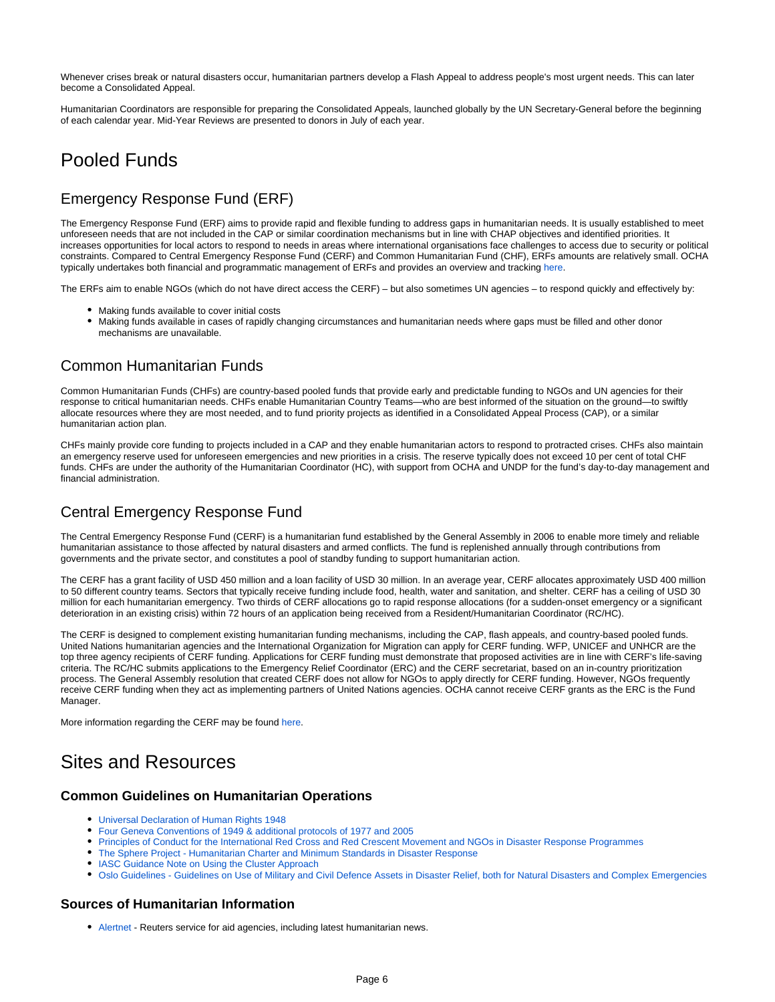Whenever crises break or natural disasters occur, humanitarian partners develop a Flash Appeal to address people's most urgent needs. This can later become a Consolidated Appeal.

Humanitarian Coordinators are responsible for preparing the Consolidated Appeals, launched globally by the UN Secretary-General before the beginning of each calendar year. Mid-Year Reviews are presented to donors in July of each year.

### <span id="page-5-0"></span>Pooled Funds

### <span id="page-5-1"></span>Emergency Response Fund (ERF)

The Emergency Response Fund (ERF) aims to provide rapid and flexible funding to address gaps in humanitarian needs. It is usually established to meet unforeseen needs that are not included in the CAP or similar coordination mechanisms but in line with CHAP objectives and identified priorities. It increases opportunities for local actors to respond to needs in areas where international organisations face challenges to access due to security or political constraints. Compared to Central Emergency Response Fund (CERF) and Common Humanitarian Fund (CHF), ERFs amounts are relatively small. OCHA typically undertakes both financial and programmatic management of ERFs and provides an overview and tracking [here.](https://fts.unocha.org/)

The ERFs aim to enable NGOs (which do not have direct access the CERF) – but also sometimes UN agencies – to respond quickly and effectively by:

- Making funds available to cover initial costs
- Making funds available in cases of rapidly changing circumstances and humanitarian needs where gaps must be filled and other donor mechanisms are unavailable.

### <span id="page-5-2"></span>Common Humanitarian Funds

Common Humanitarian Funds (CHFs) are country-based pooled funds that provide early and predictable funding to NGOs and UN agencies for their response to critical humanitarian needs. CHFs enable Humanitarian Country Teams—who are best informed of the situation on the ground—to swiftly allocate resources where they are most needed, and to fund priority projects as identified in a Consolidated Appeal Process (CAP), or a similar humanitarian action plan.

CHFs mainly provide core funding to projects included in a CAP and they enable humanitarian actors to respond to protracted crises. CHFs also maintain an emergency reserve used for unforeseen emergencies and new priorities in a crisis. The reserve typically does not exceed 10 per cent of total CHF funds. CHFs are under the authority of the Humanitarian Coordinator (HC), with support from OCHA and UNDP for the fund's day-to-day management and financial administration.

### <span id="page-5-3"></span>Central Emergency Response Fund

The Central Emergency Response Fund (CERF) is a humanitarian fund established by the General Assembly in 2006 to enable more timely and reliable humanitarian assistance to those affected by natural disasters and armed conflicts. The fund is replenished annually through contributions from governments and the private sector, and constitutes a pool of standby funding to support humanitarian action.

The CERF has a grant facility of USD 450 million and a loan facility of USD 30 million. In an average year, CERF allocates approximately USD 400 million to 50 different country teams. Sectors that typically receive funding include food, health, water and sanitation, and shelter. CERF has a ceiling of USD 30 million for each humanitarian emergency. Two thirds of CERF allocations go to rapid response allocations (for a sudden-onset emergency or a significant deterioration in an existing crisis) within 72 hours of an application being received from a Resident/Humanitarian Coordinator (RC/HC).

The CERF is designed to complement existing humanitarian funding mechanisms, including the CAP, flash appeals, and country-based pooled funds. United Nations humanitarian agencies and the International Organization for Migration can apply for CERF funding. WFP, UNICEF and UNHCR are the top three agency recipients of CERF funding. Applications for CERF funding must demonstrate that proposed activities are in line with CERF's life-saving criteria. The RC/HC submits applications to the Emergency Relief Coordinator (ERC) and the CERF secretariat, based on an in-country prioritization process. The General Assembly resolution that created CERF does not allow for NGOs to apply directly for CERF funding. However, NGOs frequently receive CERF funding when they act as implementing partners of United Nations agencies. OCHA cannot receive CERF grants as the ERC is the Fund Manager.

More information regarding the CERF may be found [here.](https://cerf.un.org/)

## <span id="page-5-4"></span>Sites and Resources

#### **Common Guidelines on Humanitarian Operations**

- [Universal Declaration of Human Rights 1948](https://dlca.logcluster.org/download/attachments/72320049/Universal%20Declaration%20on%20Human%20Rights.pdf?version=1&modificationDate=1634285379000&api=v2)
- [Four Geneva Conventions of 1949 & additional protocols of 1977 and 2005](http://www.icrc.org/ihl.nsf/CONVPRES?OpenView)
- $\bullet$ [Principles of Conduct for the International Red Cross and Red Crescent Movement and NGOs in Disaster Response Programmes](https://dlca.logcluster.org/download/attachments/72320049/ICRC%20Code%20of%20Conduct.pdf?version=1&modificationDate=1634284854000&api=v2)
- [The Sphere Project Humanitarian Charter and Minimum Standards in Disaster Response](https://spherestandards.org/)
- [IASC Guidance Note on Using the Cluster Approach](https://dlca.logcluster.org/download/attachments/72320049/IASC%20Guidance%20Note%20on%20Cluster%20Approach.pdf?version=1&modificationDate=1634285125000&api=v2)
- [Oslo Guidelines Guidelines on Use of Military and Civil Defence Assets in Disaster Relief, both for Natural Disasters and Complex Emergencies](https://dlca.logcluster.org/download/attachments/72320049/OSLO%20Guidelines.pdf?version=1&modificationDate=1634282490000&api=v2)

#### **Sources of Humanitarian Information**

[Alertnet](http://www.alertnet.org/) - Reuters service for aid agencies, including latest humanitarian news.